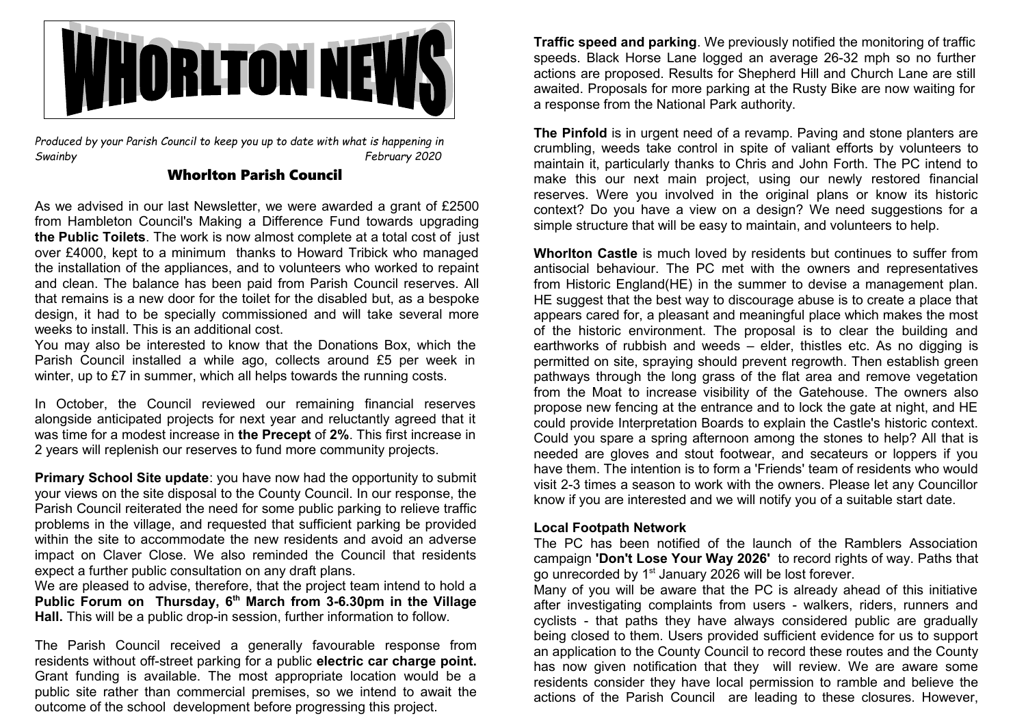

*Produced by your Parish Council to keep you up to date with what is happening in Swainby February 2020*

## Whorlton Parish Council

As we advised in our last Newsletter, we were awarded a grant of £2500 from Hambleton Council's Making a Difference Fund towards upgrading **the Public Toilets**. The work is now almost complete at a total cost of just over £4000, kept to a minimum thanks to Howard Tribick who managed the installation of the appliances, and to volunteers who worked to repaint and clean. The balance has been paid from Parish Council reserves. All that remains is a new door for the toilet for the disabled but, as a bespoke design, it had to be specially commissioned and will take several more weeks to install. This is an additional cost.

You may also be interested to know that the Donations Box, which the Parish Council installed a while ago, collects around £5 per week in winter, up to £7 in summer, which all helps towards the running costs.

In October, the Council reviewed our remaining financial reserves alongside anticipated projects for next year and reluctantly agreed that it was time for a modest increase in **the Precept** of **2%**. This first increase in 2 years will replenish our reserves to fund more community projects.

**Primary School Site update: you have now had the opportunity to submit** your views on the site disposal to the County Council. In our response, the Parish Council reiterated the need for some public parking to relieve traffic problems in the village, and requested that sufficient parking be provided within the site to accommodate the new residents and avoid an adverse impact on Claver Close. We also reminded the Council that residents expect a further public consultation on any draft plans.

We are pleased to advise, therefore, that the project team intend to hold a **Public Forum on Thursday, 6th March from 3-6.30pm in the Village Hall.** This will be a public drop-in session, further information to follow.

The Parish Council received a generally favourable response from residents without off-street parking for a public **electric car charge point.** Grant funding is available. The most appropriate location would be a public site rather than commercial premises, so we intend to await the outcome of the school development before progressing this project.

**Traffic speed and parking**. We previously notified the monitoring of traffic speeds. Black Horse Lane logged an average 26-32 mph so no further actions are proposed. Results for Shepherd Hill and Church Lane are still awaited. Proposals for more parking at the Rusty Bike are now waiting for a response from the National Park authority.

**The Pinfold** is in urgent need of a revamp. Paving and stone planters are crumbling, weeds take control in spite of valiant efforts by volunteers to maintain it, particularly thanks to Chris and John Forth. The PC intend to make this our next main project, using our newly restored financial reserves. Were you involved in the original plans or know its historic context? Do you have a view on a design? We need suggestions for a simple structure that will be easy to maintain, and volunteers to help.

**Whorlton Castle** is much loved by residents but continues to suffer from antisocial behaviour. The PC met with the owners and representatives from Historic England(HE) in the summer to devise a management plan. HE suggest that the best way to discourage abuse is to create a place that appears cared for, a pleasant and meaningful place which makes the most of the historic environment. The proposal is to clear the building and earthworks of rubbish and weeds – elder, thistles etc. As no digging is permitted on site, spraying should prevent regrowth. Then establish green pathways through the long grass of the flat area and remove vegetation from the Moat to increase visibility of the Gatehouse. The owners also propose new fencing at the entrance and to lock the gate at night, and HE could provide Interpretation Boards to explain the Castle's historic context. Could you spare a spring afternoon among the stones to help? All that is needed are gloves and stout footwear, and secateurs or loppers if you have them. The intention is to form a 'Friends' team of residents who would visit 2-3 times a season to work with the owners. Please let any Councillor know if you are interested and we will notify you of a suitable start date.

#### **Local Footpath Network**

The PC has been notified of the launch of the Ramblers Association campaign **'Don't Lose Your Way 2026'** to record rights of way. Paths that go unrecorded by 1<sup>st</sup> January 2026 will be lost forever.

Many of you will be aware that the PC is already ahead of this initiative after investigating complaints from users - walkers, riders, runners and cyclists - that paths they have always considered public are gradually being closed to them. Users provided sufficient evidence for us to support an application to the County Council to record these routes and the County has now given notification that they will review. We are aware some residents consider they have local permission to ramble and believe the actions of the Parish Council are leading to these closures. However,